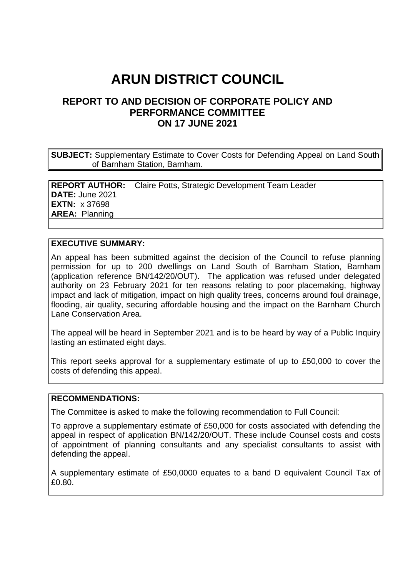# **ARUN DISTRICT COUNCIL**

# **REPORT TO AND DECISION OF CORPORATE POLICY AND PERFORMANCE COMMITTEE ON 17 JUNE 2021**

**SUBJECT:** Supplementary Estimate to Cover Costs for Defending Appeal on Land South of Barnham Station, Barnham.

**REPORT AUTHOR:** Claire Potts, Strategic Development Team Leader **DATE:** June 2021 **EXTN:** x 37698 **AREA:** Planning

#### **EXECUTIVE SUMMARY:**

An appeal has been submitted against the decision of the Council to refuse planning permission for up to 200 dwellings on Land South of Barnham Station, Barnham (application reference BN/142/20/OUT). The application was refused under delegated authority on 23 February 2021 for ten reasons relating to poor placemaking, highway impact and lack of mitigation, impact on high quality trees, concerns around foul drainage, flooding, air quality, securing affordable housing and the impact on the Barnham Church Lane Conservation Area.

The appeal will be heard in September 2021 and is to be heard by way of a Public Inquiry lasting an estimated eight days.

This report seeks approval for a supplementary estimate of up to £50,000 to cover the costs of defending this appeal.

#### **RECOMMENDATIONS:**

The Committee is asked to make the following recommendation to Full Council:

To approve a supplementary estimate of £50,000 for costs associated with defending the appeal in respect of application BN/142/20/OUT. These include Counsel costs and costs of appointment of planning consultants and any specialist consultants to assist with defending the appeal.

A supplementary estimate of £50,0000 equates to a band D equivalent Council Tax of £0.80.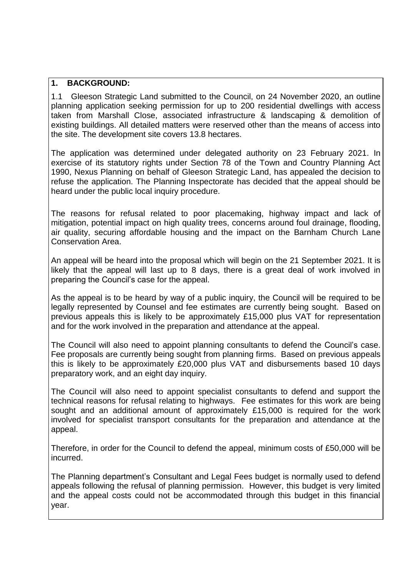#### **1. BACKGROUND:**

1.1 Gleeson Strategic Land submitted to the Council, on 24 November 2020, an outline planning application seeking permission for up to 200 residential dwellings with access taken from Marshall Close, associated infrastructure & landscaping & demolition of existing buildings. All detailed matters were reserved other than the means of access into the site. The development site covers 13.8 hectares.

The application was determined under delegated authority on 23 February 2021. In exercise of its statutory rights under Section 78 of the Town and Country Planning Act 1990, Nexus Planning on behalf of Gleeson Strategic Land, has appealed the decision to refuse the application. The Planning Inspectorate has decided that the appeal should be heard under the public local inquiry procedure.

The reasons for refusal related to poor placemaking, highway impact and lack of mitigation, potential impact on high quality trees, concerns around foul drainage, flooding, air quality, securing affordable housing and the impact on the Barnham Church Lane Conservation Area.

An appeal will be heard into the proposal which will begin on the 21 September 2021. It is likely that the appeal will last up to 8 days, there is a great deal of work involved in preparing the Council's case for the appeal.

As the appeal is to be heard by way of a public inquiry, the Council will be required to be legally represented by Counsel and fee estimates are currently being sought. Based on previous appeals this is likely to be approximately £15,000 plus VAT for representation and for the work involved in the preparation and attendance at the appeal.

The Council will also need to appoint planning consultants to defend the Council's case. Fee proposals are currently being sought from planning firms. Based on previous appeals this is likely to be approximately £20,000 plus VAT and disbursements based 10 days preparatory work, and an eight day inquiry.

The Council will also need to appoint specialist consultants to defend and support the technical reasons for refusal relating to highways. Fee estimates for this work are being sought and an additional amount of approximately £15,000 is required for the work involved for specialist transport consultants for the preparation and attendance at the appeal.

Therefore, in order for the Council to defend the appeal, minimum costs of £50,000 will be incurred.

The Planning department's Consultant and Legal Fees budget is normally used to defend appeals following the refusal of planning permission. However, this budget is very limited and the appeal costs could not be accommodated through this budget in this financial year.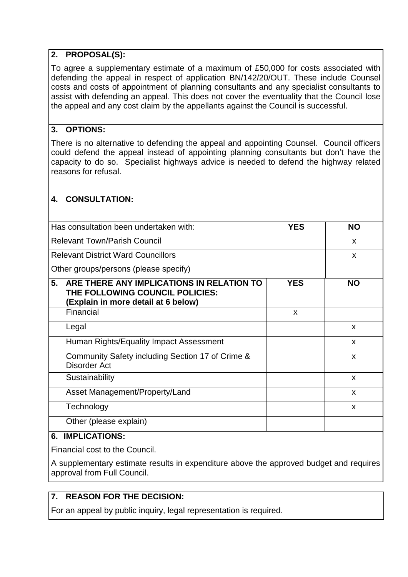## **2. PROPOSAL(S):**

To agree a supplementary estimate of a maximum of £50,000 for costs associated with defending the appeal in respect of application BN/142/20/OUT. These include Counsel costs and costs of appointment of planning consultants and any specialist consultants to assist with defending an appeal. This does not cover the eventuality that the Council lose the appeal and any cost claim by the appellants against the Council is successful.

#### **3. OPTIONS:**

There is no alternative to defending the appeal and appointing Counsel. Council officers could defend the appeal instead of appointing planning consultants but don't have the capacity to do so. Specialist highways advice is needed to defend the highway related reasons for refusal.

#### **4. CONSULTATION:**

| Has consultation been undertaken with:                                                                                    | <b>YES</b>   | <b>NO</b> |
|---------------------------------------------------------------------------------------------------------------------------|--------------|-----------|
| <b>Relevant Town/Parish Council</b>                                                                                       |              | X         |
| <b>Relevant District Ward Councillors</b>                                                                                 |              | X         |
| Other groups/persons (please specify)                                                                                     |              |           |
| 5.<br>ARE THERE ANY IMPLICATIONS IN RELATION TO<br>THE FOLLOWING COUNCIL POLICIES:<br>(Explain in more detail at 6 below) | <b>YES</b>   | <b>NO</b> |
| Financial                                                                                                                 | $\mathsf{x}$ |           |
| Legal                                                                                                                     |              | X         |
| Human Rights/Equality Impact Assessment                                                                                   |              | X         |
| Community Safety including Section 17 of Crime &<br>Disorder Act                                                          |              | X         |
| Sustainability                                                                                                            |              | X         |
| Asset Management/Property/Land                                                                                            |              | X         |
| Technology                                                                                                                |              | X         |
| Other (please explain)                                                                                                    |              |           |

# **6. IMPLICATIONS:**

Financial cost to the Council.

A supplementary estimate results in expenditure above the approved budget and requires approval from Full Council.

# **7. REASON FOR THE DECISION:**

For an appeal by public inquiry, legal representation is required.